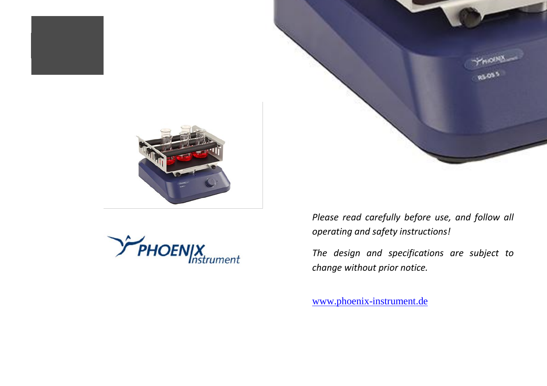

**Analog Linear Shaker & Orbital Shaker**



*Please read carefully before use, and follow all operating and safety instructions!*

RS-LS-5 Analog Linear Shaker

RS-OS-5 Analog Orbital Shaker

*The design and specifications are subject to change without prior notice.*

www.phoenix-instrument.de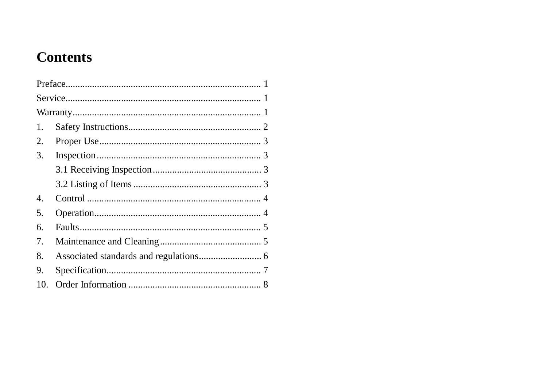## **Contents**

| 1.  |  |
|-----|--|
| 2.  |  |
| 3.  |  |
|     |  |
|     |  |
| 4.  |  |
| 5.  |  |
| 6.  |  |
| 7.  |  |
| 8.  |  |
| 9.  |  |
| 10. |  |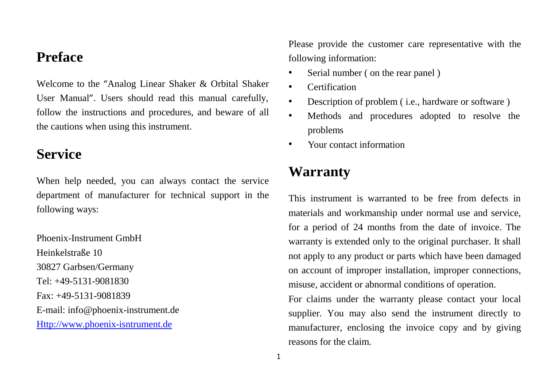#### **Preface**

Welcome to the "Analog Linear Shaker & Orbital Shaker User Manual". Users should read this manual carefully, follow the instructions and procedures, and beware of all the cautions when using this instrument.

#### **Service**

When help needed, you can always contact the service department of manufacturer for technical support in the following ways:

Phoenix-Instrument GmbH Heinkelstraße 10 30827 Garbsen/Germany Tel: +49-5131-9081830 Fax: +49-5131-9081839 E-mail: info@phoenix-instrument.de Http://www.phoenix-isntrument.de

Please provide the customer care representative with the following information:

- Serial number (on the rear panel)
- Certification
- Description of problem ( i.e., hardware or software )
- Methods and procedures adopted to resolve the problems
- Your contact information •

# **Warranty**

This instrument is warranted to be free from defects in materials and workmanship under normal use and service, for a period of 24 months from the date of invoice. The warranty is extended only to the original purchaser. It shall not apply to any product or parts which have been damaged on account of improper installation, improper connections, misuse, accident or abnormal conditions of operation.

For claims under the warranty please contact your local supplier. You may also send the instrument directly to manufacturer, enclosing the invoice copy and by giving reasons for the claim.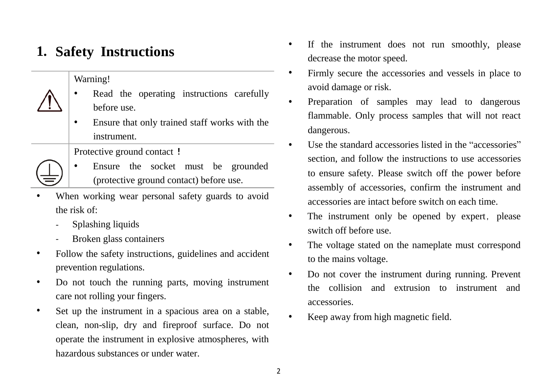## **1. Safety Instructions**

#### Warning!

- Read the operating instructions carefully before use.
- Ensure that only trained staff works with the instrument.

Protective ground contact !

- Ensure the socket must be grounded (protective ground contact) before use.
- When working wear personal safety guards to avoid the risk of:
	- Splashing liquids -
	- Broken glass containers
- Follow the safety instructions, guidelines and accident prevention regulations. •
- Do not touch the running parts, moving instrument care not rolling your fingers. •
- Set up the instrument in a spacious area on a stable, clean, non-slip, dry and fireproof surface. Do not operate the instrument in explosive atmospheres, with hazardous substances or under water. •
- If the instrument does not run smoothly, please decrease the motor speed. •
- Firmly secure the accessories and vessels in place to avoid damage or risk. •
- Preparation of samples may lead to dangerous flammable. Only process samples that will not react dangerous. •
- Use the standard accessories listed in the "accessories" section, and follow the instructions to use accessories to ensure safety. Please switch off the power before assembly of accessories, confirm the instrument and accessories are intact before switch on each time. •
- The instrument only be opened by expert, please switch off before use.
- The voltage stated on the nameplate must correspond to the mains voltage.
- Do not cover the instrument during running. Prevent the collision and extrusion to instrument and accessories.
- Keep away from high magnetic field.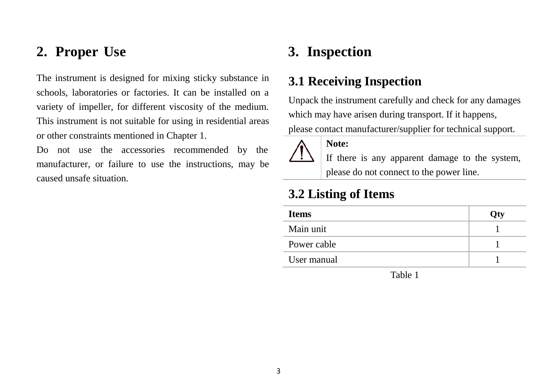#### **2. Proper Use 3. Inspection**

The instrument is designed for mixing sticky substance in schools, laboratories or factories. It can be installed on a variety of impeller, for different viscosity of the medium. This instrument is not suitable for using in residential areas or other constraints mentioned in Chapter 1.

Do not use the accessories recommended by the manufacturer, or failure to use the instructions, may be caused unsafe situation.

## **3.1 Receiving Inspection**

Unpack the instrument carefully and check for any damages which may have arisen during transport. If it happens, please contact manufacturer/supplier for technical support.



If there is any apparent damage to the system, please do not connect to the power line.

## **3.2 Listing of Items**

**Note:**

| <b>Items</b> | Qty |
|--------------|-----|
| Main unit    |     |
| Power cable  |     |
| User manual  |     |
|              |     |

Table 1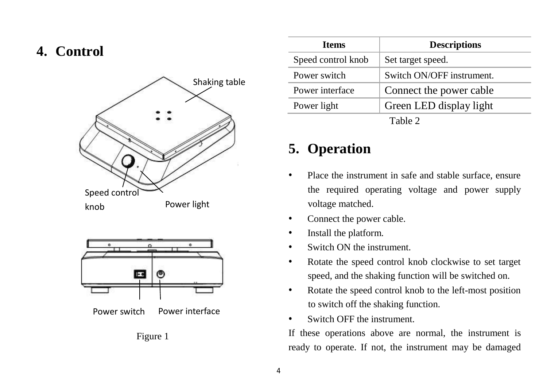## **4. Control**





Figure 1

| <b>Items</b>       | <b>Descriptions</b>       |  |
|--------------------|---------------------------|--|
| Speed control knob | Set target speed.         |  |
| Power switch       | Switch ON/OFF instrument. |  |
| Power interface    | Connect the power cable   |  |
| Power light        | Green LED display light   |  |
| Table 2            |                           |  |

## **5. Operation**

- Place the instrument in safe and stable surface, ensure the required operating voltage and power supply voltage matched.
- Connect the power cable.
- Install the platform.
- Switch ON the instrument.
- Rotate the speed control knob clockwise to set target speed, and the shaking function will be switched on.
- Rotate the speed control knob to the left-most position to switch off the shaking function.
- Switch OFF the instrument.

If these operations above are normal, the instrument is ready to operate. If not, the instrument may be damaged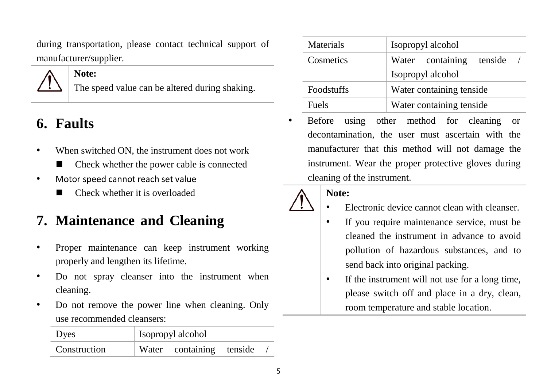during transportation, please contact technical support of manufacturer/supplier.

#### **Note:**



The speed value can be altered during shaking.

## **6. Faults**

- When switched ON, the instrument does not work
	- Check whether the power cable is connected
- Motor speed cannot reach set value
	- Check whether it is overloaded

## **7. Maintenance and Cleaning**

- Proper maintenance can keep instrument working properly and lengthen its lifetime.
- Do not spray cleanser into the instrument when cleaning.
- Do not remove the power line when cleaning. Only use recommended cleansers:

| Dyes         | Isopropyl alcohol |                          |  |  |
|--------------|-------------------|--------------------------|--|--|
| Construction |                   | Water containing tenside |  |  |

| Materials         | Isopropyl alcohol           |  |  |  |
|-------------------|-----------------------------|--|--|--|
| Cosmetics         | Water containing<br>tenside |  |  |  |
|                   | Isopropyl alcohol           |  |  |  |
| <b>Foodstuffs</b> | Water containing tenside    |  |  |  |
| <b>Fuels</b>      | Water containing tenside    |  |  |  |

• Before using other method for cleaning or decontamination, the user must ascertain with the manufacturer that this method will not damage the instrument. Wear the proper protective gloves during cleaning of the instrument.

#### **Note:**

- Electronic device cannot clean with cleanser.
- If you require maintenance service, must be cleaned the instrument in advance to avoid pollution of hazardous substances, and to send back into original packing.
- If the instrument will not use for a long time, please switch off and place in a dry, clean, room temperature and stable location.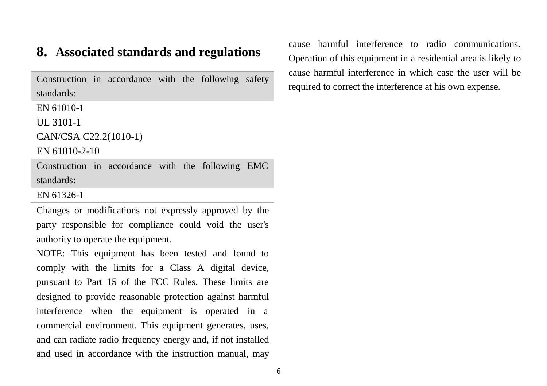#### **8. Associated standards and regulations**

Construction in accordance with the following safety standards:

EN 61010-1

UL 3101-1

```
CAN/CSA C22.2(1010-1)
```
EN 61010-2-10

Construction in accordance with the following EMC standards:

EN 61326-1

Changes or modifications not expressly approved by the party responsible for compliance could void the user's authority to operate the equipment.

NOTE: This equipment has been tested and found to comply with the limits for a Class A digital device, pursuant to Part 15 of the FCC Rules. These limits are designed to provide reasonable protection against harmful interference when the equipment is operated in a commercial environment. This equipment generates, uses, and can radiate radio frequency energy and, if not installed and used in accordance with the instruction manual, may cause harmful interference to radio communications. Operation of this equipment in a residential area is likely to cause harmful interference in which case the user will be required to correct the interference at his own expense.